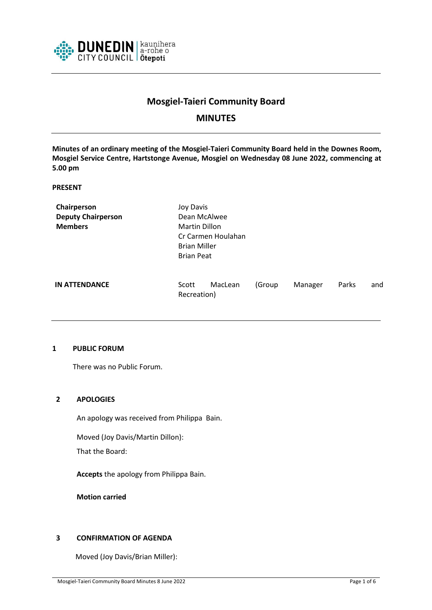

# **Mosgiel-Taieri Community Board**

# **MINUTES**

**Minutes of an ordinary meeting of the Mosgiel-Taieri Community Board held in the Downes Room, Mosgiel Service Centre, Hartstonge Avenue, Mosgiel on Wednesday 08 June 2022, commencing at 5.00 pm**

#### **PRESENT**

| Chairperson               | Joy Davis                       |        |         |       |     |
|---------------------------|---------------------------------|--------|---------|-------|-----|
| <b>Deputy Chairperson</b> | Dean McAlwee                    |        |         |       |     |
| <b>Members</b>            | <b>Martin Dillon</b>            |        |         |       |     |
|                           | Cr Carmen Houlahan              |        |         |       |     |
|                           | <b>Brian Miller</b>             |        |         |       |     |
|                           | <b>Brian Peat</b>               |        |         |       |     |
| <b>IN ATTENDANCE</b>      | MacLean<br>Scott<br>Recreation) | (Group | Manager | Parks | and |

#### **1 PUBLIC FORUM**

There was no Public Forum.

#### **2 APOLOGIES**

An apology was received from Philippa Bain.

Moved (Joy Davis/Martin Dillon):

That the Board:

**Accepts** the apology from Philippa Bain.

**Motion carried**

# **3 CONFIRMATION OF AGENDA**

Moved (Joy Davis/Brian Miller):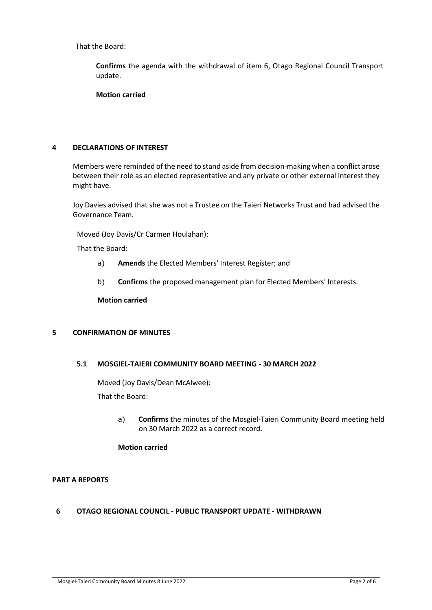That the Board:

**Confirms** the agenda with the withdrawal of item 6, Otago Regional Council Transport update.

**Motion carried**

#### **4 DECLARATIONS OF INTEREST**

Members were reminded of the need to stand aside from decision-making when a conflict arose between their role as an elected representative and any private or other external interest they might have.

Joy Davies advised that she was not a Trustee on the Taieri Networks Trust and had advised the Governance Team.

Moved (Joy Davis/Cr Carmen Houlahan):

That the Board:

- a) **Amends** the Elected Members' Interest Register; and
- b) **Confirms** the proposed management plan for Elected Members' Interests.

**Motion carried**

#### **5 CONFIRMATION OF MINUTES**

#### **5.1 MOSGIEL-TAIERI COMMUNITY BOARD MEETING - 30 MARCH 2022**

Moved (Joy Davis/Dean McAlwee):

That the Board:

a) **Confirms** the minutes of the Mosgiel-Taieri Community Board meeting held on 30 March 2022 as a correct record.

## **Motion carried**

#### **PART A REPORTS**

# **6 OTAGO REGIONAL COUNCIL - PUBLIC TRANSPORT UPDATE - WITHDRAWN**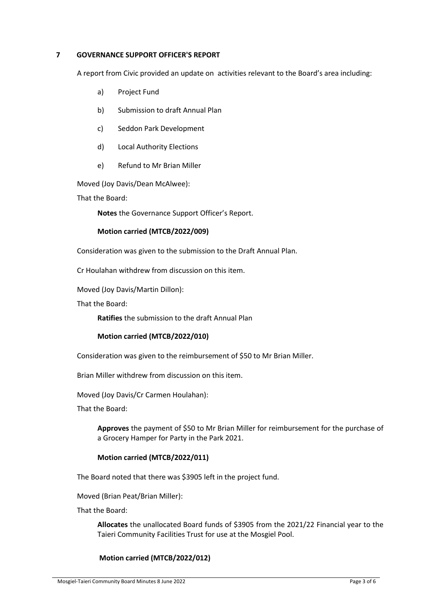#### **7 GOVERNANCE SUPPORT OFFICER'S REPORT**

A report from Civic provided an update on activities relevant to the Board's area including:

- a) Project Fund
- b) Submission to draft Annual Plan
- c) Seddon Park Development
- d) Local Authority Elections
- e) Refund to Mr Brian Miller

Moved (Joy Davis/Dean McAlwee):

That the Board:

**Notes** the Governance Support Officer's Report.

#### **Motion carried (MTCB/2022/009)**

Consideration was given to the submission to the Draft Annual Plan.

Cr Houlahan withdrew from discussion on this item.

Moved (Joy Davis/Martin Dillon):

That the Board:

**Ratifies** the submission to the draft Annual Plan

#### **Motion carried (MTCB/2022/010)**

Consideration was given to the reimbursement of \$50 to Mr Brian Miller.

Brian Miller withdrew from discussion on this item.

Moved (Joy Davis/Cr Carmen Houlahan):

That the Board:

**Approves** the payment of \$50 to Mr Brian Miller for reimbursement for the purchase of a Grocery Hamper for Party in the Park 2021.

#### **Motion carried (MTCB/2022/011)**

The Board noted that there was \$3905 left in the project fund.

Moved (Brian Peat/Brian Miller):

That the Board:

**Allocates** the unallocated Board funds of \$3905 from the 2021/22 Financial year to the Taieri Community Facilities Trust for use at the Mosgiel Pool.

#### **Motion carried (MTCB/2022/012)**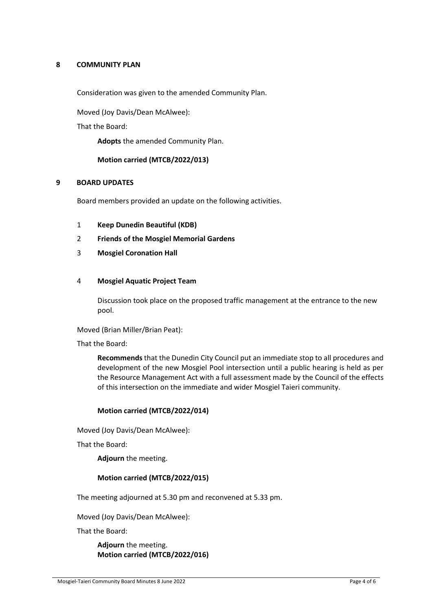## **8 COMMUNITY PLAN**

Consideration was given to the amended Community Plan.

Moved (Joy Davis/Dean McAlwee):

That the Board:

**Adopts** the amended Community Plan.

## **Motion carried (MTCB/2022/013)**

#### **9 BOARD UPDATES**

Board members provided an update on the following activities.

- 1 **Keep Dunedin Beautiful (KDB)**
- 2 **Friends of the Mosgiel Memorial Gardens**
- 3 **Mosgiel Coronation Hall**

#### 4 **Mosgiel Aquatic Project Team**

Discussion took place on the proposed traffic management at the entrance to the new pool.

Moved (Brian Miller/Brian Peat):

That the Board:

**Recommends** that the Dunedin City Council put an immediate stop to all procedures and development of the new Mosgiel Pool intersection until a public hearing is held as per the Resource Management Act with a full assessment made by the Council of the effects of this intersection on the immediate and wider Mosgiel Taieri community.

#### **Motion carried (MTCB/2022/014)**

Moved (Joy Davis/Dean McAlwee):

That the Board:

**Adjourn** the meeting.

#### **Motion carried (MTCB/2022/015)**

The meeting adjourned at 5.30 pm and reconvened at 5.33 pm.

Moved (Joy Davis/Dean McAlwee):

That the Board:

**Adjourn** the meeting. **Motion carried (MTCB/2022/016)**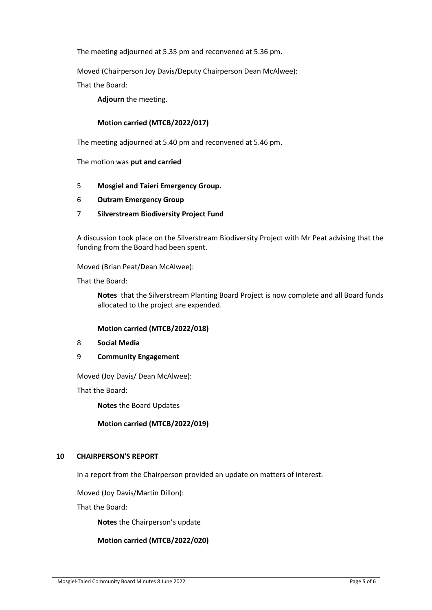The meeting adjourned at 5.35 pm and reconvened at 5.36 pm.

Moved (Chairperson Joy Davis/Deputy Chairperson Dean McAlwee):

That the Board:

**Adjourn** the meeting.

## **Motion carried (MTCB/2022/017)**

The meeting adjourned at 5.40 pm and reconvened at 5.46 pm.

The motion was **put and carried**

- 5 **Mosgiel and Taieri Emergency Group.**
- 6 **Outram Emergency Group**
- 7 **Silverstream Biodiversity Project Fund**

A discussion took place on the Silverstream Biodiversity Project with Mr Peat advising that the funding from the Board had been spent.

Moved (Brian Peat/Dean McAlwee):

That the Board:

**Notes** that the Silverstream Planting Board Project is now complete and all Board funds allocated to the project are expended.

#### **Motion carried (MTCB/2022/018)**

- 8 **Social Media**
- 9 **Community Engagement**

Moved (Joy Davis/ Dean McAlwee):

That the Board:

**Notes** the Board Updates

#### **Motion carried (MTCB/2022/019)**

#### **10 CHAIRPERSON'S REPORT**

In a report from the Chairperson provided an update on matters of interest.

Moved (Joy Davis/Martin Dillon):

That the Board:

**Notes** the Chairperson's update

#### **Motion carried (MTCB/2022/020)**